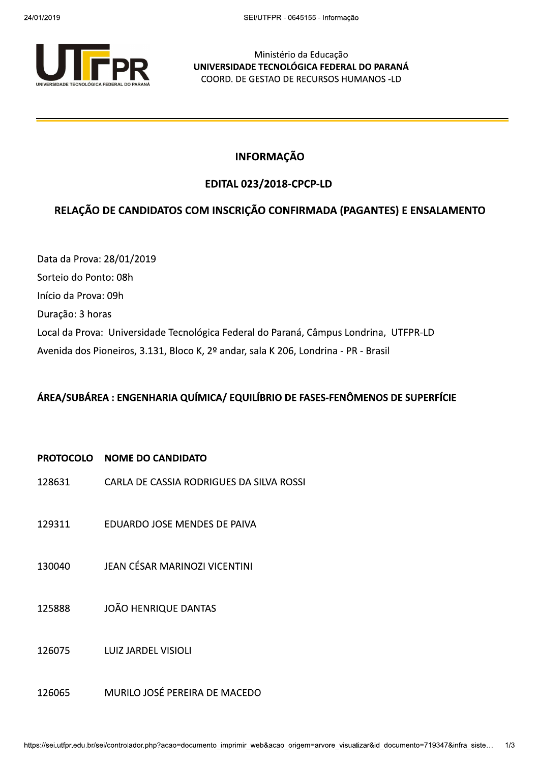

Ministério da Educação UNIVERSIDADE TECNOLÓGICA FEDERAL DO PARANÁ COORD. DE GESTAO DE RECURSOS HUMANOS -LD

## **INFORMAÇÃO**

# **EDITAL 023/2018-CPCP-LD**

# RELAÇÃO DE CANDIDATOS COM INSCRIÇÃO CONFIRMADA (PAGANTES) E ENSALAMENTO

Data da Prova: 28/01/2019 Sorteio do Ponto: 08h Início da Prova: 09h Duração: 3 horas Local da Prova: Universidade Tecnológica Federal do Paraná, Câmpus Londrina, UTFPR-LD Avenida dos Pioneiros, 3.131, Bloco K, 2º andar, sala K 206, Londrina - PR - Brasil

## ÁREA/SUBÁREA : ENGENHARIA QUÍMICA/ EQUILÍBRIO DE FASES-FENÔMENOS DE SUPERFÍCIE

## PROTOCOLO NOME DO CANDIDATO

- 128631 CARLA DE CASSIA RODRIGUES DA SILVA ROSSI
- EDUARDO JOSE MENDES DE PAIVA 129311
- **JEAN CÉSAR MARINOZI VICENTINI** 130040
- 125888 **JOÃO HENRIQUE DANTAS**

**LUIZ JARDEL VISIOLI** 126075

MURILO JOSÉ PEREIRA DE MACEDO 126065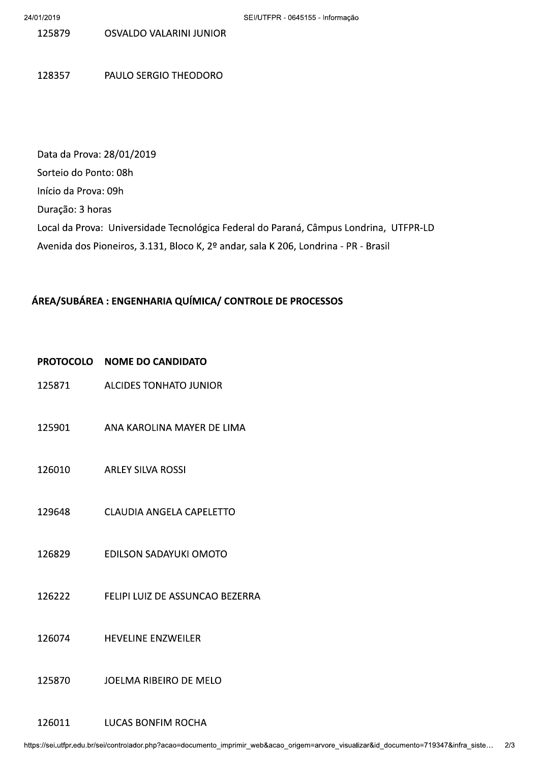125879 OSVALDO VALARINI JUNIOR

128357 PAULO SERGIO THEODORO

Data da Prova: 28/01/2019 Sorteio do Ponto: 08h Início da Prova: 09h Duração: 3 horas Local da Prova: Universidade Tecnológica Federal do Paraná, Câmpus Londrina, UTFPR-LD Avenida dos Pioneiros, 3.131, Bloco K, 2º andar, sala K 206, Londrina - PR - Brasil

## ÁREA/SUBÁREA : ENGENHARIA QUÍMICA/ CONTROLE DE PROCESSOS

| <b>PROTOCOLO</b> | <b>NOME DO CANDIDATO</b> |
|------------------|--------------------------|
|                  |                          |

- 125871 **ALCIDES TONHATO JUNIOR**
- 125901 ANA KAROLINA MAYER DE LIMA
- 126010 **ARLEY SILVA ROSSI**
- 129648 CLAUDIA ANGELA CAPELETTO
- 126829 **EDILSON SADAYUKI OMOTO**
- 126222 FELIPI LUIZ DE ASSUNCAO BEZERRA
- 126074 **HEVELINE ENZWEILER**
- 125870 JOELMA RIBEIRO DE MELO

#### 126011 **LUCAS BONFIM ROCHA**